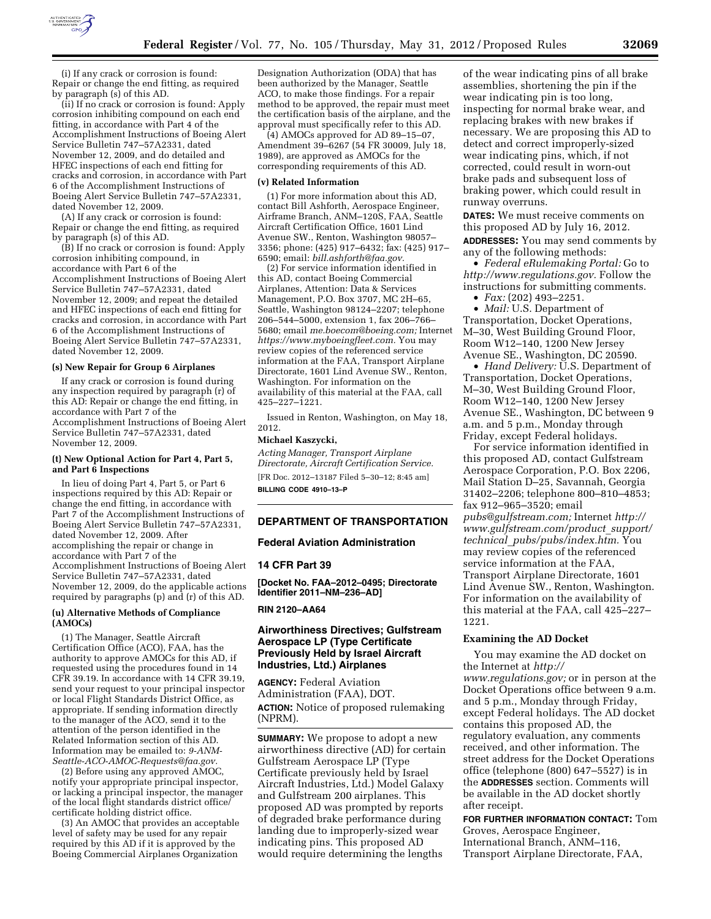

(i) If any crack or corrosion is found: Repair or change the end fitting, as required by paragraph (s) of this AD.

(ii) If no crack or corrosion is found: Apply corrosion inhibiting compound on each end fitting, in accordance with Part 4 of the Accomplishment Instructions of Boeing Alert Service Bulletin 747–57A2331, dated November 12, 2009, and do detailed and HFEC inspections of each end fitting for cracks and corrosion, in accordance with Part 6 of the Accomplishment Instructions of Boeing Alert Service Bulletin 747–57A2331, dated November 12, 2009.

(A) If any crack or corrosion is found: Repair or change the end fitting, as required by paragraph (s) of this AD.

(B) If no crack or corrosion is found: Apply corrosion inhibiting compound, in accordance with Part 6 of the Accomplishment Instructions of Boeing Alert Service Bulletin 747–57A2331, dated November 12, 2009; and repeat the detailed and HFEC inspections of each end fitting for cracks and corrosion, in accordance with Part 6 of the Accomplishment Instructions of Boeing Alert Service Bulletin 747–57A2331, dated November 12, 2009.

### **(s) New Repair for Group 6 Airplanes**

If any crack or corrosion is found during any inspection required by paragraph (r) of this AD: Repair or change the end fitting, in accordance with Part 7 of the Accomplishment Instructions of Boeing Alert Service Bulletin 747–57A2331, dated November 12, 2009.

#### **(t) New Optional Action for Part 4, Part 5, and Part 6 Inspections**

In lieu of doing Part 4, Part 5, or Part 6 inspections required by this AD: Repair or change the end fitting, in accordance with Part 7 of the Accomplishment Instructions of Boeing Alert Service Bulletin 747–57A2331, dated November 12, 2009. After accomplishing the repair or change in accordance with Part 7 of the Accomplishment Instructions of Boeing Alert Service Bulletin 747–57A2331, dated November 12, 2009, do the applicable actions required by paragraphs (p) and (r) of this AD.

## **(u) Alternative Methods of Compliance (AMOCs)**

(1) The Manager, Seattle Aircraft Certification Office (ACO), FAA, has the authority to approve AMOCs for this AD, if requested using the procedures found in 14 CFR 39.19. In accordance with 14 CFR 39.19, send your request to your principal inspector or local Flight Standards District Office, as appropriate. If sending information directly to the manager of the ACO, send it to the attention of the person identified in the Related Information section of this AD. Information may be emailed to: *[9-ANM-](mailto:9-ANM-Seattle-ACO-AMOC-Requests@faa.gov)[Seattle-ACO-AMOC-Requests@faa.gov.](mailto:9-ANM-Seattle-ACO-AMOC-Requests@faa.gov)* 

(2) Before using any approved AMOC, notify your appropriate principal inspector, or lacking a principal inspector, the manager of the local flight standards district office/ certificate holding district office.

(3) An AMOC that provides an acceptable level of safety may be used for any repair required by this AD if it is approved by the Boeing Commercial Airplanes Organization

Designation Authorization (ODA) that has been authorized by the Manager, Seattle ACO, to make those findings. For a repair method to be approved, the repair must meet the certification basis of the airplane, and the approval must specifically refer to this AD.

(4) AMOCs approved for AD 89–15–07, Amendment 39–6267 (54 FR 30009, July 18, 1989), are approved as AMOCs for the corresponding requirements of this AD.

#### **(v) Related Information**

(1) For more information about this AD, contact Bill Ashforth, Aerospace Engineer, Airframe Branch, ANM–120S, FAA, Seattle Aircraft Certification Office, 1601 Lind Avenue SW., Renton, Washington 98057– 3356; phone: (425) 917–6432; fax: (425) 917– 6590; email: *[bill.ashforth@faa.gov.](mailto:bill.ashforth@faa.gov)* 

(2) For service information identified in this AD, contact Boeing Commercial Airplanes, Attention: Data & Services Management, P.O. Box 3707, MC 2H–65, Seattle, Washington 98124–2207; telephone 206–544–5000, extension 1, fax 206–766– 5680; email *[me.boecom@boeing.com;](mailto:me.boecom@boeing.com)* Internet *[https://www.myboeingfleet.com.](https://www.myboeingfleet.com)* You may review copies of the referenced service information at the FAA, Transport Airplane Directorate, 1601 Lind Avenue SW., Renton, Washington. For information on the availability of this material at the FAA, call 425–227–1221.

Issued in Renton, Washington, on May 18, 2012.

### **Michael Kaszycki,**

*Acting Manager, Transport Airplane Directorate, Aircraft Certification Service.*  [FR Doc. 2012–13187 Filed 5–30–12; 8:45 am] **BILLING CODE 4910–13–P** 

### **DEPARTMENT OF TRANSPORTATION**

### **Federal Aviation Administration**

#### **14 CFR Part 39**

**[Docket No. FAA–2012–0495; Directorate Identifier 2011–NM–236–AD]** 

### **RIN 2120–AA64**

## **Airworthiness Directives; Gulfstream Aerospace LP (Type Certificate Previously Held by Israel Aircraft Industries, Ltd.) Airplanes**

**AGENCY:** Federal Aviation Administration (FAA), DOT. **ACTION:** Notice of proposed rulemaking (NPRM).

**SUMMARY:** We propose to adopt a new airworthiness directive (AD) for certain Gulfstream Aerospace LP (Type Certificate previously held by Israel Aircraft Industries, Ltd.) Model Galaxy and Gulfstream 200 airplanes. This proposed AD was prompted by reports of degraded brake performance during landing due to improperly-sized wear indicating pins. This proposed AD would require determining the lengths

of the wear indicating pins of all brake assemblies, shortening the pin if the wear indicating pin is too long, inspecting for normal brake wear, and replacing brakes with new brakes if necessary. We are proposing this AD to detect and correct improperly-sized wear indicating pins, which, if not corrected, could result in worn-out brake pads and subsequent loss of braking power, which could result in runway overruns.

**DATES:** We must receive comments on this proposed AD by July 16, 2012. **ADDRESSES:** You may send comments by any of the following methods:

• *Federal eRulemaking Portal:* Go to *[http://www.regulations.gov.](http://www.regulations.gov)* Follow the instructions for submitting comments.

• *Fax:* (202) 493–2251.

• *Mail:* U.S. Department of Transportation, Docket Operations, M–30, West Building Ground Floor, Room W12–140, 1200 New Jersey Avenue SE., Washington, DC 20590.

• *Hand Delivery:* U.S. Department of Transportation, Docket Operations, M–30, West Building Ground Floor, Room W12–140, 1200 New Jersey Avenue SE., Washington, DC between 9 a.m. and 5 p.m., Monday through Friday, except Federal holidays.

For service information identified in this proposed AD, contact Gulfstream Aerospace Corporation, P.O. Box 2206, Mail Station D–25, Savannah, Georgia 31402–2206; telephone 800–810–4853; fax 912–965–3520; email *[pubs@gulfstream.com;](mailto:pubs@gulfstream.com)* Internet *[http://](http://www.gulfstream.com/product_support/technical_pubs/pubs/index.htm) [www.gulfstream.com/product](http://www.gulfstream.com/product_support/technical_pubs/pubs/index.htm)*\_*support/ technical*\_*[pubs/pubs/index.htm.](http://www.gulfstream.com/product_support/technical_pubs/pubs/index.htm)* You may review copies of the referenced service information at the FAA, Transport Airplane Directorate, 1601 Lind Avenue SW., Renton, Washington. For information on the availability of this material at the FAA, call 425–227– 1221.

#### **Examining the AD Docket**

You may examine the AD docket on the Internet at *[http://](http://www.regulations.gov)  [www.regulations.gov;](http://www.regulations.gov)* or in person at the Docket Operations office between 9 a.m. and 5 p.m., Monday through Friday, except Federal holidays. The AD docket contains this proposed AD, the regulatory evaluation, any comments received, and other information. The street address for the Docket Operations office (telephone (800) 647–5527) is in the **ADDRESSES** section. Comments will be available in the AD docket shortly after receipt.

**FOR FURTHER INFORMATION CONTACT:** Tom Groves, Aerospace Engineer, International Branch, ANM–116, Transport Airplane Directorate, FAA,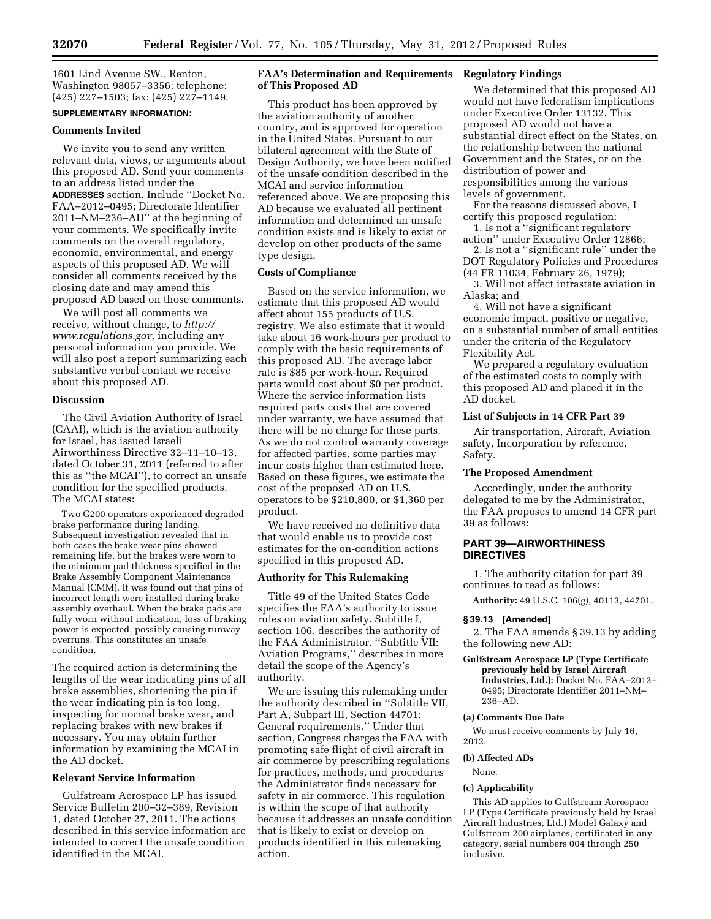1601 Lind Avenue SW., Renton, Washington 98057–3356; telephone: (425) 227–1503; fax: (425) 227–1149.

## **SUPPLEMENTARY INFORMATION:**

#### **Comments Invited**

We invite you to send any written relevant data, views, or arguments about this proposed AD. Send your comments to an address listed under the **ADDRESSES** section. Include ''Docket No. FAA–2012–0495; Directorate Identifier 2011–NM–236–AD'' at the beginning of your comments. We specifically invite comments on the overall regulatory, economic, environmental, and energy aspects of this proposed AD. We will consider all comments received by the closing date and may amend this proposed AD based on those comments.

We will post all comments we receive, without change, to *[http://](http://www.regulations.gov) [www.regulations.gov,](http://www.regulations.gov)* including any personal information you provide. We will also post a report summarizing each substantive verbal contact we receive about this proposed AD.

### **Discussion**

The Civil Aviation Authority of Israel (CAAI), which is the aviation authority for Israel, has issued Israeli Airworthiness Directive 32–11–10–13, dated October 31, 2011 (referred to after this as ''the MCAI''), to correct an unsafe condition for the specified products. The MCAI states:

Two G200 operators experienced degraded brake performance during landing. Subsequent investigation revealed that in both cases the brake wear pins showed remaining life, but the brakes were worn to the minimum pad thickness specified in the Brake Assembly Component Maintenance Manual (CMM). It was found out that pins of incorrect length were installed during brake assembly overhaul. When the brake pads are fully worn without indication, loss of braking power is expected, possibly causing runway overruns. This constitutes an unsafe condition.

The required action is determining the lengths of the wear indicating pins of all brake assemblies, shortening the pin if the wear indicating pin is too long, inspecting for normal brake wear, and replacing brakes with new brakes if necessary. You may obtain further information by examining the MCAI in the AD docket.

## **Relevant Service Information**

Gulfstream Aerospace LP has issued Service Bulletin 200–32–389, Revision 1, dated October 27, 2011. The actions described in this service information are intended to correct the unsafe condition identified in the MCAI.

## **FAA's Determination and Requirements of This Proposed AD**

This product has been approved by the aviation authority of another country, and is approved for operation in the United States. Pursuant to our bilateral agreement with the State of Design Authority, we have been notified of the unsafe condition described in the MCAI and service information referenced above. We are proposing this AD because we evaluated all pertinent information and determined an unsafe condition exists and is likely to exist or develop on other products of the same type design.

## **Costs of Compliance**

Based on the service information, we estimate that this proposed AD would affect about 155 products of U.S. registry. We also estimate that it would take about 16 work-hours per product to comply with the basic requirements of this proposed AD. The average labor rate is \$85 per work-hour. Required parts would cost about \$0 per product. Where the service information lists required parts costs that are covered under warranty, we have assumed that there will be no charge for these parts. As we do not control warranty coverage for affected parties, some parties may incur costs higher than estimated here. Based on these figures, we estimate the cost of the proposed AD on U.S. operators to be \$210,800, or \$1,360 per product.

We have received no definitive data that would enable us to provide cost estimates for the on-condition actions specified in this proposed AD.

# **Authority for This Rulemaking**

Title 49 of the United States Code specifies the FAA's authority to issue rules on aviation safety. Subtitle I, section 106, describes the authority of the FAA Administrator. ''Subtitle VII: Aviation Programs,'' describes in more detail the scope of the Agency's authority.

We are issuing this rulemaking under the authority described in ''Subtitle VII, Part A, Subpart III, Section 44701: General requirements.'' Under that section, Congress charges the FAA with promoting safe flight of civil aircraft in air commerce by prescribing regulations for practices, methods, and procedures the Administrator finds necessary for safety in air commerce. This regulation is within the scope of that authority because it addresses an unsafe condition that is likely to exist or develop on products identified in this rulemaking action.

# **Regulatory Findings**

We determined that this proposed AD would not have federalism implications under Executive Order 13132. This proposed AD would not have a substantial direct effect on the States, on the relationship between the national Government and the States, or on the distribution of power and responsibilities among the various levels of government.

For the reasons discussed above, I certify this proposed regulation:

1. Is not a ''significant regulatory action'' under Executive Order 12866;

2. Is not a ''significant rule'' under the DOT Regulatory Policies and Procedures (44 FR 11034, February 26, 1979);

3. Will not affect intrastate aviation in Alaska; and

4. Will not have a significant economic impact, positive or negative, on a substantial number of small entities under the criteria of the Regulatory Flexibility Act.

We prepared a regulatory evaluation of the estimated costs to comply with this proposed AD and placed it in the AD docket.

## **List of Subjects in 14 CFR Part 39**

Air transportation, Aircraft, Aviation safety, Incorporation by reference, Safety.

## **The Proposed Amendment**

Accordingly, under the authority delegated to me by the Administrator, the FAA proposes to amend 14 CFR part 39 as follows:

## **PART 39—AIRWORTHINESS DIRECTIVES**

1. The authority citation for part 39 continues to read as follows:

**Authority:** 49 U.S.C. 106(g), 40113, 44701.

### **§ 39.13 [Amended]**

2. The FAA amends § 39.13 by adding the following new AD:

### **Gulfstream Aerospace LP (Type Certificate previously held by Israel Aircraft Industries, Ltd.):** Docket No. FAA–2012– 0495; Directorate Identifier 2011–NM– 236–AD.

### **(a) Comments Due Date**

We must receive comments by July 16, 2012.

## **(b) Affected ADs**

None.

## **(c) Applicability**

This AD applies to Gulfstream Aerospace LP (Type Certificate previously held by Israel Aircraft Industries, Ltd.) Model Galaxy and Gulfstream 200 airplanes, certificated in any category, serial numbers 004 through 250 inclusive.